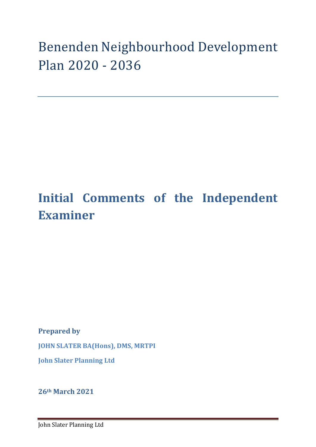# Benenden Neighbourhood Development Plan 2020 - 2036

## **Initial Comments of the Independent Examiner**

**Prepared by** 

**JOHN SLATER BA(Hons), DMS, MRTPI**

**John Slater Planning Ltd**

**26th March 2021**

John Slater Planning Ltd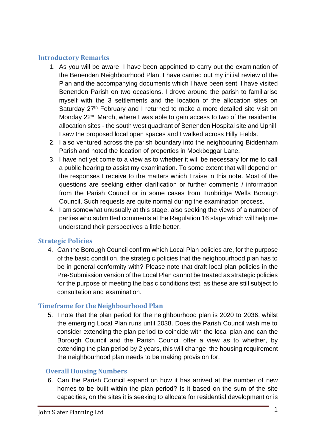#### **Introductory Remarks**

- 1. As you will be aware, I have been appointed to carry out the examination of the Benenden Neighbourhood Plan. I have carried out my initial review of the Plan and the accompanying documents which I have been sent. I have visited Benenden Parish on two occasions. I drove around the parish to familiarise myself with the 3 settlements and the location of the allocation sites on Saturday 27<sup>th</sup> February and I returned to make a more detailed site visit on Monday 22<sup>nd</sup> March, where I was able to gain access to two of the residential allocation sites - the south west quadrant of Benenden Hospital site and Uphill. I saw the proposed local open spaces and I walked across Hilly Fields.
- 2. I also ventured across the parish boundary into the neighbouring Biddenham Parish and noted the location of properties in Mockbeggar Lane.
- 3. I have not yet come to a view as to whether it will be necessary for me to call a public hearing to assist my examination. To some extent that will depend on the responses I receive to the matters which I raise in this note. Most of the questions are seeking either clarification or further comments / information from the Parish Council or in some cases from Tunbridge Wells Borough Council. Such requests are quite normal during the examination process.
- 4. I am somewhat unusually at this stage, also seeking the views of a number of parties who submitted comments at the Regulation 16 stage which will help me understand their perspectives a little better.

## **Strategic Policies**

4. Can the Borough Council confirm which Local Plan policies are, for the purpose of the basic condition, the strategic policies that the neighbourhood plan has to be in general conformity with? Please note that draft local plan policies in the Pre-Submission version of the Local Plan cannot be treated as strategic policies for the purpose of meeting the basic conditions test, as these are still subject to consultation and examination.

## **Timeframe for the Neighbourhood Plan**

5. I note that the plan period for the neighbourhood plan is 2020 to 2036, whilst the emerging Local Plan runs until 2038. Does the Parish Council wish me to consider extending the plan period to coincide with the local plan and can the Borough Council and the Parish Council offer a view as to whether, by extending the plan period by 2 years, this will change the housing requirement the neighbourhood plan needs to be making provision for.

#### **Overall Housing Numbers**

6. Can the Parish Council expand on how it has arrived at the number of new homes to be built within the plan period? Is it based on the sum of the site capacities, on the sites it is seeking to allocate for residential development or is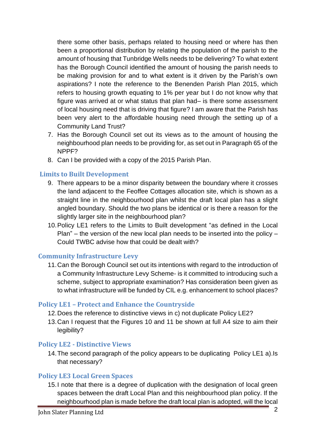there some other basis, perhaps related to housing need or where has then been a proportional distribution by relating the population of the parish to the amount of housing that Tunbridge Wells needs to be delivering? To what extent has the Borough Council identified the amount of housing the parish needs to be making provision for and to what extent is it driven by the Parish's own aspirations? I note the reference to the Benenden Parish Plan 2015, which refers to housing growth equating to 1% per year but I do not know why that figure was arrived at or what status that plan had– is there some assessment of local housing need that is driving that figure? I am aware that the Parish has been very alert to the affordable housing need through the setting up of a Community Land Trust?

- 7. Has the Borough Council set out its views as to the amount of housing the neighbourhood plan needs to be providing for, as set out in Paragraph 65 of the NPPF?
- 8. Can I be provided with a copy of the 2015 Parish Plan.

## **Limits to Built Development**

- 9. There appears to be a minor disparity between the boundary where it crosses the land adjacent to the Feoffee Cottages allocation site, which is shown as a straight line in the neighbourhood plan whilst the draft local plan has a slight angled boundary. Should the two plans be identical or is there a reason for the slightly larger site in the neighbourhood plan?
- 10.Policy LE1 refers to the Limits to Built development "as defined in the Local Plan" – the version of the new local plan needs to be inserted into the policy – Could TWBC advise how that could be dealt with?

## **Community Infrastructure Levy**

11.Can the Borough Council set out its intentions with regard to the introduction of a Community Infrastructure Levy Scheme- is it committed to introducing such a scheme, subject to appropriate examination? Has consideration been given as to what infrastructure will be funded by CIL e.g. enhancement to school places?

#### **Policy LE1 – Protect and Enhance the Countryside**

- 12.Does the reference to distinctive views in c) not duplicate Policy LE2?
- 13.Can I request that the Figures 10 and 11 be shown at full A4 size to aim their legibility?

## **Policy LE2 - Distinctive Views**

14.The second paragraph of the policy appears to be duplicating Policy LE1 a).Is that necessary?

#### **Policy LE3 Local Green Spaces**

15.I note that there is a degree of duplication with the designation of local green spaces between the draft Local Plan and this neighbourhood plan policy. If the neighbourhood plan is made before the draft local plan is adopted, will the local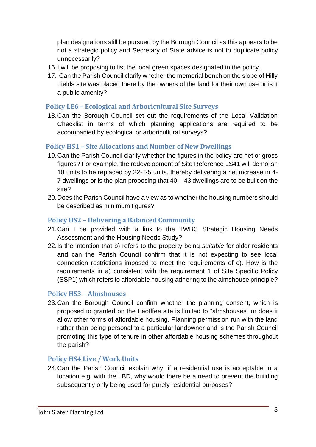plan designations still be pursued by the Borough Council as this appears to be not a strategic policy and Secretary of State advice is not to duplicate policy unnecessarily?

- 16.I will be proposing to list the local green spaces designated in the policy.
- 17. Can the Parish Council clarify whether the memorial bench on the slope of Hilly Fields site was placed there by the owners of the land for their own use or is it a public amenity?

#### **Policy LE6 – Ecological and Arboricultural Site Surveys**

18.Can the Borough Council set out the requirements of the Local Validation Checklist in terms of which planning applications are required to be accompanied by ecological or arboricultural surveys?

## **Policy HS1 – Site Allocations and Number of New Dwellings**

- 19.Can the Parish Council clarify whether the figures in the policy are net or gross figures? For example, the redevelopment of Site Reference LS41 will demolish 18 units to be replaced by 22- 25 units, thereby delivering a net increase in 4- 7 dwellings or is the plan proposing that 40 – 43 dwellings are to be built on the site?
- 20.Does the Parish Council have a view as to whether the housing numbers should be described as minimum figures?

## **Policy HS2 – Delivering a Balanced Community**

- 21.Can I be provided with a link to the TWBC Strategic Housing Needs Assessment and the Housing Needs Study?
- 22.Is the intention that b) refers to the property being *suitable* for older residents and can the Parish Council confirm that it is not expecting to see local connection restrictions imposed to meet the requirements of c). How is the requirements in a) consistent with the requirement 1 of Site Specific Policy (SSP1) which refers to affordable housing adhering to the almshouse principle?

## **Policy HS3 – Almshouses**

23.Can the Borough Council confirm whether the planning consent, which is proposed to granted on the Feofffee site is limited to "almshouses" or does it allow other forms of affordable housing. Planning permission run with the land rather than being personal to a particular landowner and is the Parish Council promoting this type of tenure in other affordable housing schemes throughout the parish?

## **Policy HS4 Live / Work Units**

24.Can the Parish Council explain why, if a residential use is acceptable in a location e.g. with the LBD, why would there be a need to prevent the building subsequently only being used for purely residential purposes?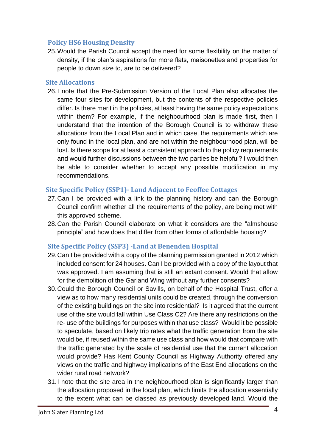#### **Policy HS6 Housing Density**

25.Would the Parish Council accept the need for some flexibility on the matter of density, if the plan's aspirations for more flats, maisonettes and properties for people to down size to, are to be delivered?

#### **Site Allocations**

26.I note that the Pre-Submission Version of the Local Plan also allocates the same four sites for development, but the contents of the respective policies differ. Is there merit in the policies, at least having the same policy expectations within them? For example, if the neighbourhood plan is made first, then I understand that the intention of the Borough Council is to withdraw these allocations from the Local Plan and in which case, the requirements which are only found in the local plan, and are not within the neighbourhood plan, will be lost. Is there scope for at least a consistent approach to the policy requirements and would further discussions between the two parties be helpful? I would then be able to consider whether to accept any possible modification in my recommendations.

#### **Site Specific Policy (SSP1)- Land Adjacent to Feoffee Cottages**

- 27.Can I be provided with a link to the planning history and can the Borough Council confirm whether all the requirements of the policy, are being met with this approved scheme.
- 28.Can the Parish Council elaborate on what it considers are the "almshouse principle" and how does that differ from other forms of affordable housing?

#### **Site Specific Policy (SSP3) -Land at Benenden Hospital**

- 29.Can I be provided with a copy of the planning permission granted in 2012 which included consent for 24 houses. Can I be provided with a copy of the layout that was approved. I am assuming that is still an extant consent. Would that allow for the demolition of the Garland Wing without any further consents?
- 30.Could the Borough Council or Savills, on behalf of the Hospital Trust, offer a view as to how many residential units could be created, through the conversion of the existing buildings on the site into residential? Is it agreed that the current use of the site would fall within Use Class C2? Are there any restrictions on the re- use of the buildings for purposes within that use class? Would it be possible to speculate, based on likely trip rates what the traffic generation from the site would be, if reused within the same use class and how would that compare with the traffic generated by the scale of residential use that the current allocation would provide? Has Kent County Council as Highway Authority offered any views on the traffic and highway implications of the East End allocations on the wider rural road network?
- 31.I note that the site area in the neighbourhood plan is significantly larger than the allocation proposed in the local plan, which limits the allocation essentially to the extent what can be classed as previously developed land. Would the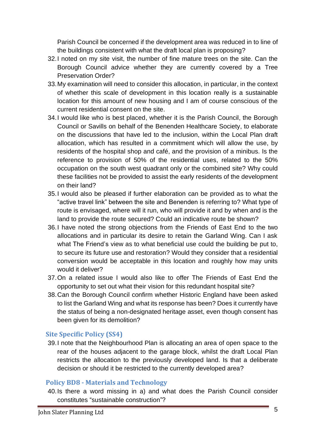Parish Council be concerned if the development area was reduced in to line of the buildings consistent with what the draft local plan is proposing?

- 32.I noted on my site visit, the number of fine mature trees on the site. Can the Borough Council advice whether they are currently covered by a Tree Preservation Order?
- 33.My examination will need to consider this allocation, in particular, in the context of whether this scale of development in this location really is a sustainable location for this amount of new housing and I am of course conscious of the current residential consent on the site.
- 34.I would like who is best placed, whether it is the Parish Council, the Borough Council or Savills on behalf of the Benenden Healthcare Society, to elaborate on the discussions that have led to the inclusion, within the Local Plan draft allocation, which has resulted in a commitment which will allow the use, by residents of the hospital shop and café, and the provision of a minibus. Is the reference to provision of 50% of the residential uses, related to the 50% occupation on the south west quadrant only or the combined site? Why could these facilities not be provided to assist the early residents of the development on their land?
- 35.I would also be pleased if further elaboration can be provided as to what the "active travel link" between the site and Benenden is referring to? What type of route is envisaged, where will it run, who will provide it and by when and is the land to provide the route secured? Could an indicative route be shown?
- 36.I have noted the strong objections from the Friends of East End to the two allocations and in particular its desire to retain the Garland Wing. Can I ask what The Friend's view as to what beneficial use could the building be put to, to secure its future use and restoration? Would they consider that a residential conversion would be acceptable in this location and roughly how may units would it deliver?
- 37.On a related issue I would also like to offer The Friends of East End the opportunity to set out what their vision for this redundant hospital site?
- 38.Can the Borough Council confirm whether Historic England have been asked to list the Garland Wing and what its response has been? Does it currently have the status of being a non-designated heritage asset, even though consent has been given for its demolition?

## **Site Specific Policy (SS4)**

39.I note that the Neighbourhood Plan is allocating an area of open space to the rear of the houses adjacent to the garage block, whilst the draft Local Plan restricts the allocation to the previously developed land. Is that a deliberate decision or should it be restricted to the currently developed area?

## **Policy BD8 - Materials and Technology**

40.Is there a word missing in a) and what does the Parish Council consider constitutes "sustainable construction"?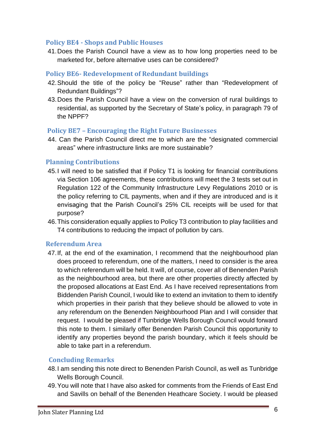#### **Policy BE4 - Shops and Public Houses**

41.Does the Parish Council have a view as to how long properties need to be marketed for, before alternative uses can be considered?

#### **Policy BE6- Redevelopment of Redundant buildings**

- 42.Should the title of the policy be "Reuse" rather than "Redevelopment of Redundant Buildings"?
- 43.Does the Parish Council have a view on the conversion of rural buildings to residential, as supported by the Secretary of State's policy, in paragraph 79 of the NPPF?

#### **Policy BE7 – Encouraging the Right Future Businesses**

44. Can the Parish Council direct me to which are the "designated commercial areas" where infrastructure links are more sustainable?

#### **Planning Contributions**

- 45.I will need to be satisfied that if Policy T1 is looking for financial contributions via Section 106 agreements, these contributions will meet the 3 tests set out in Regulation 122 of the Community Infrastructure Levy Regulations 2010 or is the policy referring to CIL payments, when and if they are introduced and is it envisaging that the Parish Council's 25% CIL receipts will be used for that purpose?
- 46.This consideration equally applies to Policy T3 contribution to play facilities and T4 contributions to reducing the impact of pollution by cars.

#### **Referendum Area**

47.If, at the end of the examination, I recommend that the neighbourhood plan does proceed to referendum, one of the matters, I need to consider is the area to which referendum will be held. It will, of course, cover all of Benenden Parish as the neighbourhood area, but there are other properties directly affected by the proposed allocations at East End. As I have received representations from Biddenden Parish Council, I would like to extend an invitation to them to identify which properties in their parish that they believe should be allowed to vote in any referendum on the Benenden Neighbourhood Plan and I will consider that request. I would be pleased if Tunbridge Wells Borough Council would forward this note to them. I similarly offer Benenden Parish Council this opportunity to identify any properties beyond the parish boundary, which it feels should be able to take part in a referendum.

## **Concluding Remarks**

- 48.I am sending this note direct to Benenden Parish Council, as well as Tunbridge Wells Borough Council.
- 49.You will note that I have also asked for comments from the Friends of East End and Savills on behalf of the Benenden Heathcare Society. I would be pleased